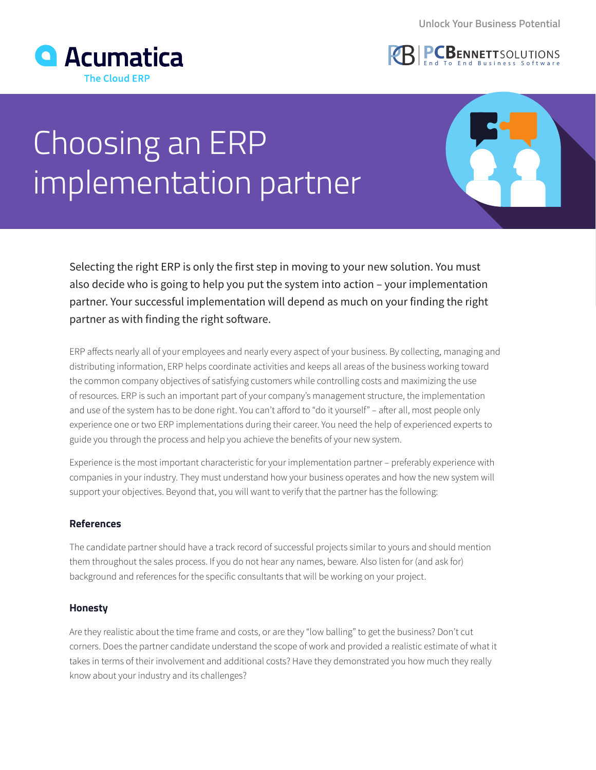



# Choosing an ERP implementation partner

Selecting the right ERP is only the first step in moving to your new solution. You must also decide who is going to help you put the system into action – your implementation partner. Your successful implementation will depend as much on your finding the right partner as with finding the right software.

ERP affects nearly all of your employees and nearly every aspect of your business. By collecting, managing and distributing information, ERP helps coordinate activities and keeps all areas of the business working toward the common company objectives of satisfying customers while controlling costs and maximizing the use of resources. ERP is such an important part of your company's management structure, the implementation and use of the system has to be done right. You can't afford to "do it yourself" – after all, most people only experience one or two ERP implementations during their career. You need the help of experienced experts to guide you through the process and help you achieve the benefits of your new system.

Experience is the most important characteristic for your implementation partner – preferably experience with companies in your industry. They must understand how your business operates and how the new system will support your objectives. Beyond that, you will want to verify that the partner has the following:

## **References**

The candidate partner should have a track record of successful projects similar to yours and should mention them throughout the sales process. If you do not hear any names, beware. Also listen for (and ask for) background and references for the specific consultants that will be working on your project.

### **Honesty**

Are they realistic about the time frame and costs, or are they "low balling" to get the business? Don't cut corners. Does the partner candidate understand the scope of work and provided a realistic estimate of what it takes in terms of their involvement and additional costs? Have they demonstrated you how much they really know about your industry and its challenges?